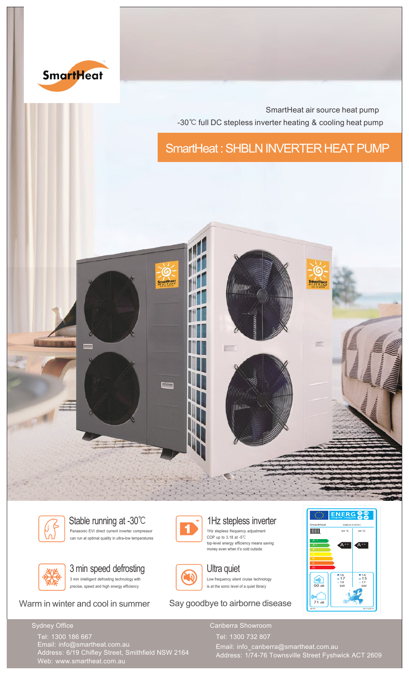

SmartHeat air source heat pump -30℃ full DC stepless inverter heating & cooling heat pump

SmartHeat : SHBLN INVERTER HEAT PUMP





Panasonic EVI direct current inverter compressor can run at optimal quality in ultra-low temperatures Stable running at -30℃ 1Hz stepless inverter







1Hz stepless frequency adjustment COP up to 3.18 at -5℃ top-level energy efficiency means saving money even when it's cold outside



Low frequency silent cruise technology is at the sonic level of a quiet library Ultra quiet

Warm in winter and cool in summer Say goodbye to airborne disease



Sydney Office

Address: 6/19 Chifley Street, Smithfield NSW 2164 Tel: 1300 186 667 Email: info@smartheat.com.au Web: www.smartheat.com.au

Address: 1/74-76 Townsville Street Fyshwick ACT 2609 Tel: 1300 732 807 Email: info\_canberra@smartheat.com.au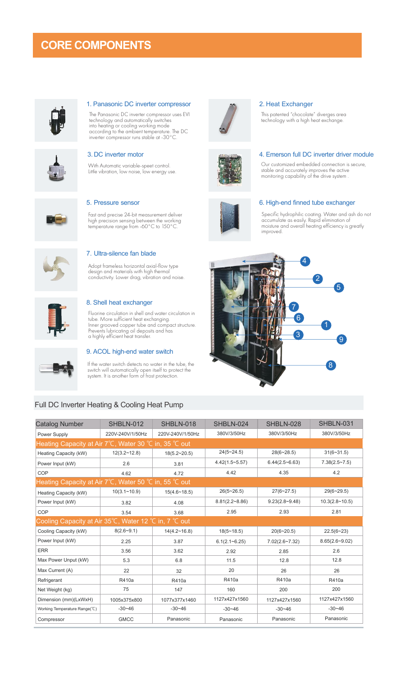# **CORE COMPONENTS**



## 1. Panasonic DC inverter compressor 2. Heat Exchanger

The Panasonic DC inverter compressor uses EVI technology and automatically switches into heating or cooling working mode according to the ambient temperature. The DC inverter compressor runs stable at -30°C.



With Automatic variable-speet control. Little vibration, low noise, low energy use.



Fast and precise 24-bit measurement deliver high precision sensing between the working temperature range from -60°C to 150°C.

Adopt frameless horizontal axial-flow type design and materials with high thermal conductivity. Lower drag, vibration and noise.



This patented "chocolate" diverges area technology with a high heat exchange.



### 3. DC inverter motor 4. Emerson full DC inverter driver module

Our customized embedded connection is secure, stable and accurately improves the active monitoring capability of the drive system .



## 5. Pressure sensor 6. High-end finned tube exchanger

Specific hydrophilic coating. Water and ash do not accumulate as easily. Rapid elimination of moisture and overall heating efficiency is greatly improved.





# 8. Shell heat exchanger

7. Ultra-silence fan blade

Fluorine circulation in shell and water circulation in tube. More sufficient heat exchanging. Inner grooved copper tube and compact structure. Prevents lubricating oil deposits and has a highly efficient heat transfer.



# 9. ACOL high-end water switch

If the water switch detects no water in the tube, the switch will automatically open itself to protect the system. It is another form of frost protection.

# Full DC Inverter Heating & Cooling Heat Pump

| Catalog Number                                                                       | SHBLN-012        | SHBLN-018             | SHBLN-024          | SHBLN-028          | SHBLN-031          |
|--------------------------------------------------------------------------------------|------------------|-----------------------|--------------------|--------------------|--------------------|
| Power Supply                                                                         | 220V-240V/1/50Hz | 220V-240V/1/50Hz      | 380V/3/50Hz        | 380V/3/50Hz        | 380V/3/50Hz        |
| Heating Capacity at Air 7°C, Water 30 °C in, 35 °C out                               |                  |                       |                    |                    |                    |
| Heating Capacity (kW)                                                                | $12(3.2 - 12.8)$ | $18(5.2 \times 20.5)$ | $24(5 - 24.5)$     | $28(6 - 28.5)$     | $31(6 - 31.5)$     |
| Power Input (kW)                                                                     | 2.6              | 3.81                  | $4.42(1.5-5.57)$   | $6.44(2.5 - 6.63)$ | $7.38(2.5 - 7.5)$  |
| COP                                                                                  | 4.62             | 4.72                  | 4.42               | 4.35               | 4.2                |
| Heating Capacity at Air 7°C, Water 50 °C in, 55 °C out                               |                  |                       |                    |                    |                    |
| Heating Capacity (kW)                                                                | $10(3.1 - 10.9)$ | $15(4.6 \times 18.5)$ | $26(5 - 26.5)$     | $27(6 - 27.5)$     | $29(6 - 29.5)$     |
| Power Input (kW)                                                                     | 3.82             | 4.08                  | $8.81(2.2 - 8.86)$ | $9.23(2.8 - 9.48)$ | $10.3(2.8 - 10.5)$ |
| COP                                                                                  | 3.54             | 3.68                  | 2.95               | 2.93               | 2.81               |
| Cooling Capacity at Air $35^{\circ}$ C, Water 12 $^{\circ}$ C in, 7 $^{\circ}$ C out |                  |                       |                    |                    |                    |
| Cooling Capacity (kW)                                                                | $8(2.6 - 9.1)$   | 14(4.2~16.8)          | $18(5 - 18.5)$     | $20(6 - 20.5)$     | $22.5(6-23)$       |
| Power Input (kW)                                                                     | 2.25             | 3.87                  | $6.1(2.1 - 6.25)$  | $7.02(2.6 - 7.32)$ | $8.65(2.6-9.02)$   |
| <b>ERR</b>                                                                           | 3.56             | 3.62                  | 2.92               | 2.85               | 2.6                |
| Max Power Unput (kW)                                                                 | 5.3              | 6.8                   | 11.5               | 12.8               | 12.8               |
| Max Current (A)                                                                      | 22               | 32                    | 20                 | 26                 | 26                 |
| Refrigerant                                                                          | R410a            | R410a                 | R410a              | R410a              | R410a              |
| Net Weight (kg)                                                                      | 75               | 147                   | 160                | 200                | 200                |
| Dimension (mm)(LxWxH)                                                                | 1005x375x800     | 1077x377x1460         | 1127x427x1560      | 1127x427x1560      | 1127x427x1560      |
| Working Temperature Range(°C)                                                        | $-30 - 46$       | $-30 - 46$            | $-30 - 46$         | $-30 - 46$         | $-30 - 46$         |
| Compressor                                                                           | <b>GMCC</b>      | Panasonic             | Panasonic          | Panasonic          | Panasonic          |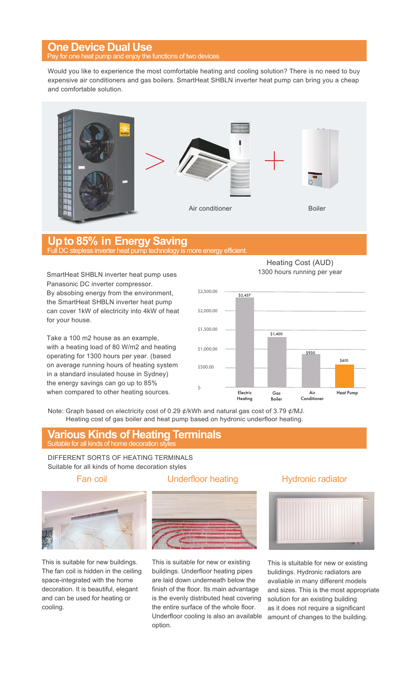# **One Device Dual Use**

If one heat pump and enjoy the functions of two devices

Would you like to experience the most comfortable heating and cooling solution? There is no need to buy expensive air conditioners and gas boilers. SmartHeat SHBLN inverter heat pump can bring you a cheap and comfortable solution.



# **Up to 85% in Energy Saving**<br>Full DC stepless inverter heat pump technology is more energy efficient.

SmartHeat SHBLN inverter heat pump uses Panasonic DC inverter compressor. By absobing energy from the environment, the SmartHeat SHBLN inverter heat pump can cover 1kW of electricity into 4kW of heat for your house.

Take a 100 m2 house as an example, with a heating load of 80 W/m2 and heating operating for 1300 hours per year. (based on average running hours of heating system in a standard insulated house in Sydney) the energy savings can go up to 85% when compared to other heating sources.

Heating Cost (AUD) 1300 hours running per year



Note: Graph based on electricity cost of 0.29 ¢/kWh and natural gas cost of 3.79 ¢/MJ. Heating cost of gas boiler and heat pump based on hydronic underfloor heating.

# Suitable for all kinds of home decoration styles **Various Kinds of Heating Terminals**

DIFFERENT SORTS OF HEATING TERMINALS Suitable for all kinds of home decoration styles



This is suitable for new buildings. The fan coil is hidden in the ceiling space-integrated with the home decoration. It is beautiful, elegant and can be used for heating or cooling.

# Fan coil **Example 1** Underfloor heating **Hydronic radiator**



This is suitable for new or existing buildings. Underfloor heating pipes are laid down underneath below the finish of the floor. Its main advantage is the evenly distributed heat covering the entire surface of the whole floor. Underfloor cooling is also an available option.



This is stuitable for new or existing bulidings. Hydronic radiators are avaliable in many different models and sizes. This is the most appropriate solution for an existing building as it does not require a significant amount of changes to the building.